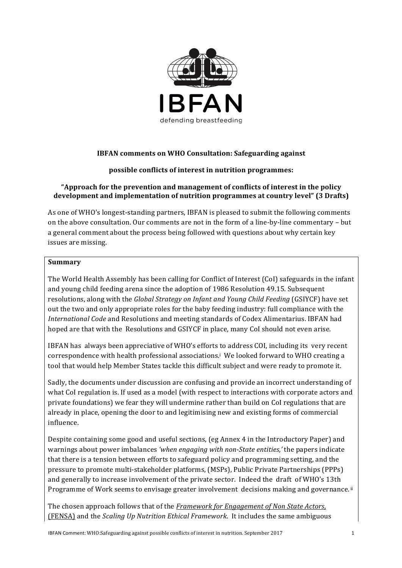

# **IBFAN** comments on WHO Consultation: Safeguarding against

## **possible conflicts of interest in nutrition programmes:**

## **"Approach for the prevention and management of conflicts of interest in the policy** development and implementation of nutrition programmes at country level" (3 Drafts)

As one of WHO's longest-standing partners, IBFAN is pleased to submit the following comments on the above consultation. Our comments are not in the form of a line-by-line commentary - but a general comment about the process being followed with questions about why certain key issues are missing.

### **Summary**

The World Health Assembly has been calling for Conflict of Interest (CoI) safeguards in the infant and young child feeding arena since the adoption of 1986 Resolution 49.15. Subsequent resolutions, along with the *Global Strategy on Infant and Young Child Feeding* (GSIYCF) have set out the two and only appropriate roles for the baby feeding industry: full compliance with the *International Code* and Resolutions and meeting standards of Codex Alimentarius. IBFAN had hoped are that with the Resolutions and GSIYCF in place, many CoI should not even arise.

IBFAN has always been appreciative of WHO's efforts to address COI, including its very recent correspondence with health professional associations.<sup>1</sup> We looked forward to WHO creating a tool that would help Member States tackle this difficult subject and were ready to promote it.

Sadly, the documents under discussion are confusing and provide an incorrect understanding of what CoI regulation is. If used as a model (with respect to interactions with corporate actors and private foundations) we fear they will undermine rather than build on CoI regulations that are already in place, opening the door to and legitimising new and existing forms of commercial influence. 

Despite containing some good and useful sections, (eg Annex 4 in the Introductory Paper) and warnings about power imbalances 'when engaging with non-State entities,' the papers indicate that there is a tension between efforts to safeguard policy and programming setting, and the pressure to promote multi-stakeholder platforms, (MSPs), Public Private Partnerships (PPPs) and generally to increase involvement of the private sector. Indeed the draft of WHO's 13th Programme of Work seems to envisage greater involvement decisions making and governance.<sup>ii</sup>

The chosen approach follows that of the *Framework for Engagement of Non State Actors*, (FENSA) and the *Scaling Up Nutrition Ethical Framework*. It includes the same ambiguous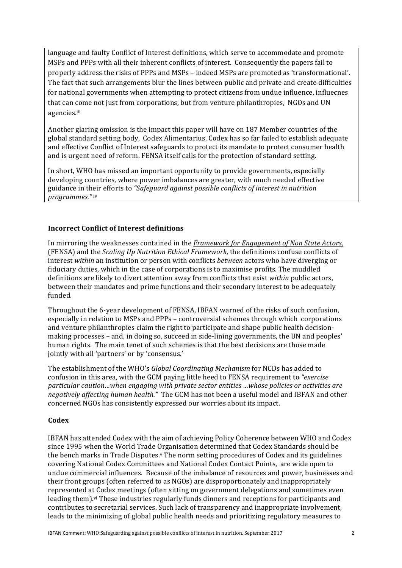language and faulty Conflict of Interest definitions, which serve to accommodate and promote MSPs and PPPs with all their inherent conflicts of interest. Consequently the papers fail to properly address the risks of PPPs and MSPs – indeed MSPs are promoted as 'transformational'. The fact that such arrangements blur the lines between public and private and create difficulties for national governments when attempting to protect citizens from undue influence, influecnes that can come not just from corporations, but from venture philanthropies, NGOs and UN agencies.iii

Another glaring omission is the impact this paper will have on 187 Member countries of the global standard setting body. Codex Alimentarius. Codex has so far failed to establish adequate and effective Conflict of Interest safeguards to protect its mandate to protect consumer health and is urgent need of reform. FENSA itself calls for the protection of standard setting.

In short, WHO has missed an important opportunity to provide governments, especially developing countries, where power imbalances are greater, with much needed effective guidance in their efforts to "Safeguard against possible conflicts of interest in nutrition *programmes."* iv

## **Incorrect Conflict of Interest definitions**

In mirroring the weaknesses contained in the *Framework for Engagement of Non State Actors*, (FENSA) and the *Scaling Up Nutrition Ethical Framework*, the definitions confuse conflicts of interest *within* an institution or person with conflicts *between* actors who have diverging or fiduciary duties, which in the case of corporations is to maximise profits. The muddled definitions are likely to divert attention away from conflicts that exist *within* public actors, between their mandates and prime functions and their secondary interest to be adequately funded. 

Throughout the 6-year development of FENSA, IBFAN warned of the risks of such confusion, especially in relation to MSPs and PPPs – controversial schemes through which corporations and venture philanthropies claim the right to participate and shape public health decisionmaking processes – and, in doing so, succeed in side-lining governments, the UN and peoples' human rights. The main tenet of such schemes is that the best decisions are those made jointly with all 'partners' or by 'consensus.'

The establishment of the WHO's *Global Coordinating Mechanism* for NCDs has added to confusion in this area, with the GCM paying little heed to FENSA requirement to *"exercise particular caution…when engaging with private sector entities …whose policies or activities are negatively affecting human health."* The GCM has not been a useful model and IBFAN and other concerned NGOs has consistently expressed our worries about its impact.

### **Codex**

IBFAN has attended Codex with the aim of achieving Policy Coherence between WHO and Codex since 1995 when the World Trade Organisation determined that Codex Standards should be the bench marks in Trade Disputes.<sup>y</sup> The norm setting procedures of Codex and its guidelines covering National Codex Committees and National Codex Contact Points, are wide open to undue commercial influences. Because of the imbalance of resources and power, businesses and their front groups (often referred to as NGOs) are disproportionately and inappropriately represented at Codex meetings (often sitting on government delegations and sometimes even leading them).<sup> $vi$ </sup> These industries regularly funds dinners and receptions for participants and contributes to secretarial services. Such lack of transparency and inappropriate involvement, leads to the minimizing of global public health needs and prioritizing regulatory measures to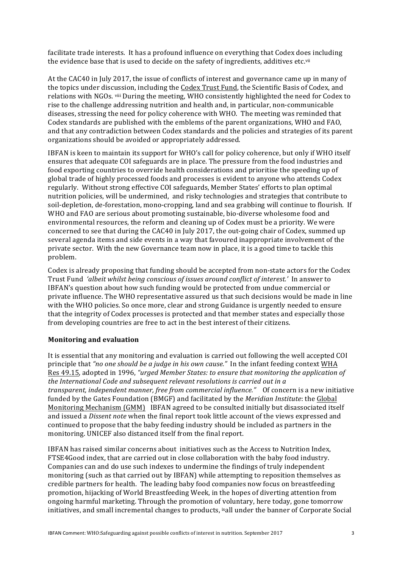facilitate trade interests. It has a profound influence on everything that Codex does including the evidence base that is used to decide on the safety of ingredients, additives etc.vii

At the CAC40 in July 2017, the issue of conflicts of interest and governance came up in many of the topics under discussion, including the Codex Trust Fund, the Scientific Basis of Codex, and relations with NGOs. viii During the meeting, WHO consistently highlighted the need for Codex to rise to the challenge addressing nutrition and health and, in particular, non-communicable diseases, stressing the need for policy coherence with WHO. The meeting was reminded that Codex standards are published with the emblems of the parent organizations, WHO and FAO. and that any contradiction between Codex standards and the policies and strategies of its parent organizations should be avoided or appropriately addressed.

IBFAN is keen to maintain its support for WHO's call for policy coherence, but only if WHO itself ensures that adequate COI safeguards are in place. The pressure from the food industries and food exporting countries to override health considerations and prioritise the speeding up of global trade of highly processed foods and processes is evident to anyone who attends Codex regularly. Without strong effective COI safeguards, Member States' efforts to plan optimal nutrition policies, will be undermined, and risky technologies and strategies that contribute to soil-depletion, de-forestation, mono-cropping, land and sea grabbing will continue to flourish. If WHO and FAO are serious about promoting sustainable, bio-diverse wholesome food and environmental resources, the reform and cleaning up of Codex must be a priority. We were concerned to see that during the CAC40 in July 2017, the out-going chair of Codex, summed up several agenda items and side events in a way that favoured inappropriate involvement of the private sector. With the new Governance team now in place, it is a good time to tackle this problem.

Codex is already proposing that funding should be accepted from non-state actors for the Codex Trust Fund *'albeit whilst being conscious of issues around conflict of interest.'* In answer to IBFAN's question about how such funding would be protected from undue commercial or private influence. The WHO representative assured us that such decisions would be made in line with the WHO policies. So once more, clear and strong Guidance is urgently needed to ensure that the integrity of Codex processes is protected and that member states and especially those from developing countries are free to act in the best interest of their citizens.

### **Monitoring and evaluation**

It is essential that any monitoring and evaluation is carried out following the well accepted COI principle that "no one should be a judge in his own cause." In the infant feeding context WHA Res 49.15, adopted in 1996, "urged Member States: to ensure that monitoring the application of the International Code and subsequent relevant resolutions is carried out in a *transparent, independent manner, free from commercial influence."* Of concern is a new initiative funded by the Gates Foundation (BMGF) and facilitated by the *Meridian Institute*: the Global Monitoring Mechanism (GMM) IBFAN agreed to be consulted initially but disassociated itself and issued a *Dissent note* when the final report took little account of the views expressed and continued to propose that the baby feeding industry should be included as partners in the monitoring. UNICEF also distanced itself from the final report.

IBFAN has raised similar concerns about initiatives such as the Access to Nutrition Index, FTSE4Good index, that are carried out in close collaboration with the baby food industry. Companies can and do use such indexes to undermine the findings of truly independent monitoring (such as that carried out by IBFAN) while attempting to reposition themselves as credible partners for health. The leading baby food companies now focus on breastfeeding promotion, hijacking of World Breastfeeding Week, in the hopes of diverting attention from ongoing harmful marketing. Through the promotion of voluntary, here today, gone tomorrow initiatives, and small incremental changes to products, ixall under the banner of Corporate Social